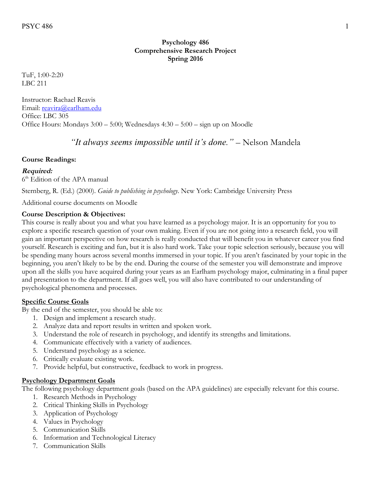## **Psychology 486 Comprehensive Research Project Spring 2016**

TuF, 1:00-2:20 LBC 211

Instructor: Rachael Reavis Email: reavira@earlham.edu Office: LBC 305 Office Hours: Mondays 3:00 – 5:00; Wednesdays 4:30 – 5:00 – sign up on Moodle

*"It always seems impossible until it's done."* – Nelson Mandela

## **Course Readings:**

## **Required:**

6<sup>th</sup> Edition of the APA manual

Sternberg, R. (Ed.) (2000). *Guide to publishing in psychology*. New York: Cambridge University Press

Additional course documents on Moodle

## **Course Description & Objectives:**

This course is really about you and what you have learned as a psychology major. It is an opportunity for you to explore a specific research question of your own making. Even if you are not going into a research field, you will gain an important perspective on how research is really conducted that will benefit you in whatever career you find yourself. Research is exciting and fun, but it is also hard work. Take your topic selection seriously, because you will be spending many hours across several months immersed in your topic. If you aren't fascinated by your topic in the beginning, you aren't likely to be by the end. During the course of the semester you will demonstrate and improve upon all the skills you have acquired during your years as an Earlham psychology major, culminating in a final paper and presentation to the department. If all goes well, you will also have contributed to our understanding of psychological phenomena and processes.

## **Specific Course Goals**

By the end of the semester, you should be able to:

- 1. Design and implement a research study.
- 2. Analyze data and report results in written and spoken work.
- 3. Understand the role of research in psychology, and identify its strengths and limitations.
- 4. Communicate effectively with a variety of audiences.
- 5. Understand psychology as a science.
- 6. Critically evaluate existing work.
- 7. Provide helpful, but constructive, feedback to work in progress.

## **Psychology Department Goals**

The following psychology department goals (based on the APA guidelines) are especially relevant for this course.

- 1. Research Methods in Psychology
- 2. Critical Thinking Skills in Psychology
- 3. Application of Psychology
- 4. Values in Psychology
- 5. Communication Skills
- 6. Information and Technological Literacy
- 7. Communication Skills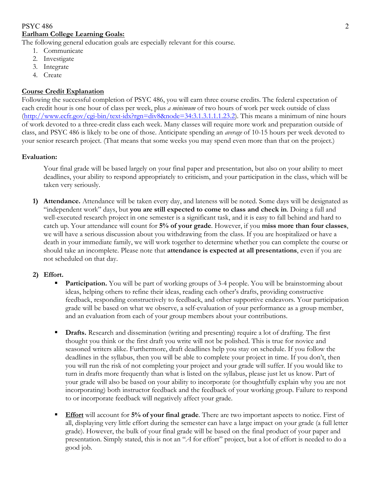## PSYC 486 2 **Earlham College Learning Goals:**

The following general education goals are especially relevant for this course.

- 1. Communicate
- 2. Investigate
- 3. Integrate
- 4. Create

#### **Course Credit Explanation**

Following the successful completion of PSYC 486, you will earn three course credits. The federal expectation of each credit hour is one hour of class per week, plus *a minimum* of two hours of work per week outside of class (http://www.ecfr.gov/cgi-bin/text-idx?rgn=div8&node=34:3.1.3.1.1.1.23.2). This means a minimum of nine hours of work devoted to a three-credit class each week. Many classes will require more work and preparation outside of class, and PSYC 486 is likely to be one of those. Anticipate spending an *average* of 10-15 hours per week devoted to your senior research project. (That means that some weeks you may spend even more than that on the project.)

#### **Evaluation:**

Your final grade will be based largely on your final paper and presentation, but also on your ability to meet deadlines, your ability to respond appropriately to criticism, and your participation in the class, which will be taken very seriously.

**1) Attendance.** Attendance will be taken every day, and lateness will be noted. Some days will be designated as "independent work" days, but **you are still expected to come to class and check in**. Doing a full and well-executed research project in one semester is a significant task, and it is easy to fall behind and hard to catch up. Your attendance will count for **5% of your grade**. However, if you **miss more than four classes**, we will have a serious discussion about you withdrawing from the class. If you are hospitalized or have a death in your immediate family, we will work together to determine whether you can complete the course or should take an incomplete. Please note that **attendance is expected at all presentations**, even if you are not scheduled on that day.

#### **2) Effort.**

- **Participation.** You will be part of working groups of 3-4 people. You will be brainstorming about ideas, helping others to refine their ideas, reading each other's drafts, providing constructive feedback, responding constructively to feedback, and other supportive endeavors. Your participation grade will be based on what we observe, a self-evaluation of your performance as a group member, and an evaluation from each of your group members about your contributions.
- § **Drafts.** Research and dissemination (writing and presenting) require a lot of drafting. The first thought you think or the first draft you write will not be polished. This is true for novice and seasoned writers alike. Furthermore, draft deadlines help you stay on schedule. If you follow the deadlines in the syllabus, then you will be able to complete your project in time. If you don't, then you will run the risk of not completing your project and your grade will suffer. If you would like to turn in drafts more frequently than what is listed on the syllabus, please just let us know. Part of your grade will also be based on your ability to incorporate (or thoughtfully explain why you are not incorporating) both instructor feedback and the feedback of your working group. Failure to respond to or incorporate feedback will negatively affect your grade.
- **Effort** will account for **5% of your final grade**. There are two important aspects to notice. First of all, displaying very little effort during the semester can have a large impact on your grade (a full letter grade). However, the bulk of your final grade will be based on the final product of your paper and presentation. Simply stated, this is not an "*A* for effort" project, but a lot of effort is needed to do a good job.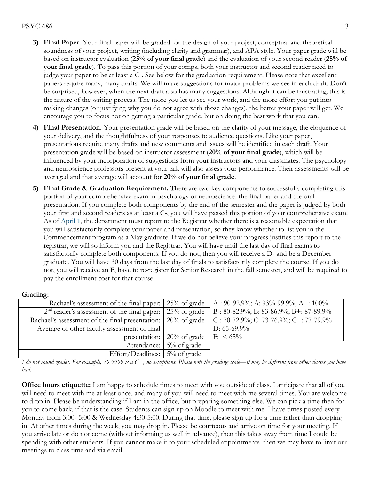#### $PSYC 486$  3

- **3) Final Paper.** Your final paper will be graded for the design of your project, conceptual and theoretical soundness of your project, writing (including clarity and grammar), and APA style. Your paper grade will be based on instructor evaluation (**25% of your final grade**) and the evaluation of your second reader (**25% of your final grade**). To pass this portion of your comps, both your instructor and second reader need to judge your paper to be at least a C-. See below for the graduation requirement. Please note that excellent papers require many, many drafts. We will make suggestions for major problems we see in each draft. Don't be surprised, however, when the next draft also has many suggestions. Although it can be frustrating, this is the nature of the writing process. The more you let us see your work, and the more effort you put into making changes (or justifying why you do not agree with those changes), the better your paper will get. We encourage you to focus not on getting a particular grade, but on doing the best work that you can.
- **4) Final Presentation.** Your presentation grade will be based on the clarity of your message, the eloquence of your delivery, and the thoughtfulness of your responses to audience questions. Like your paper, presentations require many drafts and new comments and issues will be identified in each draft. Your presentation grade will be based on instructor assessment (**20% of your final grade**), which will be influenced by your incorporation of suggestions from your instructors and your classmates. The psychology and neuroscience professors present at your talk will also assess your performance. Their assessments will be averaged and that average will account for **20% of your final grade**.
- **5) Final Grade & Graduation Requirement.** There are two key components to successfully completing this portion of your comprehensive exam in psychology or neuroscience: the final paper and the oral presentation. If you complete both components by the end of the semester and the paper is judged by both your first and second readers as at least a C-, you will have passed this portion of your comprehensive exam. As of April 1, the department must report to the Registrar whether there is a reasonable expectation that you will satisfactorily complete your paper and presentation, so they know whether to list you in the Commencement program as a May graduate. If we do not believe your progress justifies this report to the registrar, we will so inform you and the Registrar. You will have until the last day of final exams to satisfactorily complete both components. If you do not, then you will receive a D- and be a December graduate. You will have 30 days from the last day of finals to satisfactorily complete the course. If you do not, you will receive an F, have to re-register for Senior Research in the fall semester, and will be required to pay the enrollment cost for that course.

#### **Grading:**

| Rachael's assessment of the final paper: 25% of grade               |                 | A-: 90-92.9%; A: 93%-99.9%; A+: $100\%$ |
|---------------------------------------------------------------------|-----------------|-----------------------------------------|
| $2nd$ reader's assessment of the final paper: $\vert 25\%$ of grade |                 | B-: 80-82.9%; B: 83-86.9%; B+: 87-89.9% |
| Rachael's assessment of the final presentation:                     | $20\%$ of grade | C-: 70-72.9%; C: 73-76.9%; C+: 77-79.9% |
| Average of other faculty assessment of final                        |                 | D: $65-69.9\%$                          |
| presentation:                                                       | $20\%$ of grade | $F: \ 65\%$                             |
| Attendance:                                                         | 5% of grade     |                                         |
| Effort/Deadlines: $\frac{1}{2}\%$ of grade                          |                 |                                         |

*I do not round grades. For example, 79.9999 is a C+, no exceptions. Please note the grading scale—it may be different from other classes you have had.* 

**Office hours etiquette:** I am happy to schedule times to meet with you outside of class. I anticipate that all of you will need to meet with me at least once, and many of you will need to meet with me several times. You are welcome to drop in. Please be understanding if I am in the office, but preparing something else. We can pick a time then for you to come back, if that is the case. Students can sign up on Moodle to meet with me. I have times posted every Monday from 3:00- 5:00 & Wednesday 4:30-5:00. During that time, please sign up for a time rather than dropping in. At other times during the week, you may drop in. Please be courteous and arrive on time for your meeting. If you arrive late or do not come (without informing us well in advance), then this takes away from time I could be spending with other students. If you cannot make it to your scheduled appointments, then we may have to limit our meetings to class time and via email.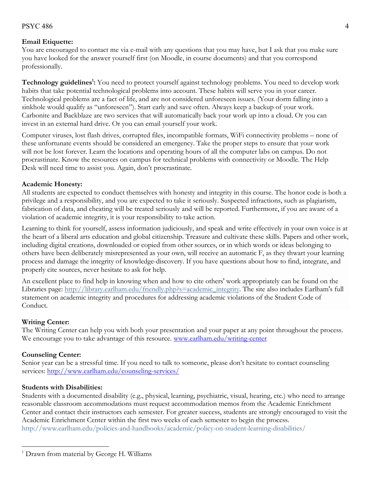#### $PSYC 486$  4

#### **Email Etiquette:**

You are encouraged to contact me via e-mail with any questions that you may have, but I ask that you make sure you have looked for the answer yourself first (on Moodle, in course documents) and that you correspond professionally.

Technology guidelines<sup>1</sup>: You need to protect yourself against technology problems. You need to develop work habits that take potential technological problems into account. These habits will serve you in your career. Technological problems are a fact of life, and are not considered unforeseen issues. (Your dorm falling into a sinkhole would qualify as "unforeseen"). Start early and save often. Always keep a backup of your work. Carbonite and Backblaze are two services that will automatically back your work up into a cloud. Or you can invest in an external hard drive. Or you can email yourself your work.

Computer viruses, lost flash drives, corrupted files, incompatible formats, WiFi connectivity problems – none of these unfortunate events should be considered an emergency. Take the proper steps to ensure that your work will not be lost forever. Learn the locations and operating hours of all the computer labs on campus. Do not procrastinate. Know the resources on campus for technical problems with connectivity or Moodle. The Help Desk will need time to assist you. Again, don't procrastinate.

#### **Academic Honesty:**

All students are expected to conduct themselves with honesty and integrity in this course. The honor code is both a privilege and a responsibility, and you are expected to take it seriously. Suspected infractions, such as plagiarism, fabrication of data, and cheating will be treated seriously and will be reported. Furthermore, if you are aware of a violation of academic integrity, it is your responsibility to take action.

Learning to think for yourself, assess information judiciously, and speak and write effectively in your own voice is at the heart of a liberal arts education and global citizenship. Treasure and cultivate these skills. Papers and other work, including digital creations, downloaded or copied from other sources, or in which words or ideas belonging to others have been deliberately misrepresented as your own, will receive an automatic F, as they thwart your learning process and damage the integrity of knowledge-discovery. If you have questions about how to find, integrate, and properly cite sources, never hesitate to ask for help.

An excellent place to find help in knowing when and how to cite others' work appropriately can be found on the Libraries page: http://library.earlham.edu/friendly.php?s=academic\_integrity. The site also includes Earlham's full statement on academic integrity and procedures for addressing academic violations of the Student Code of Conduct.

#### **Writing Center:**

The Writing Center can help you with both your presentation and your paper at any point throughout the process. We encourage you to take advantage of this resource. www.earlham.edu/writing-center

## **Counseling Center:**

 $\overline{a}$ 

Senior year can be a stressful time. If you need to talk to someone, please don't hesitate to contact counseling services: http://www.earlham.edu/counseling-services/

#### **Students with Disabilities:**

Students with a documented disability (e.g., physical, learning, psychiatric, visual, hearing, etc.) who need to arrange reasonable classroom accommodations must request accommodation memos from the Academic Enrichment Center and contact their instructors each semester. For greater success, students are strongly encouraged to visit the Academic Enrichment Center within the first two weeks of each semester to begin the process. http://www.earlham.edu/policies-and-handbooks/academic/policy-on-student-learning-disabilities/

<sup>&</sup>lt;sup>1</sup> Drawn from material by George H. Williams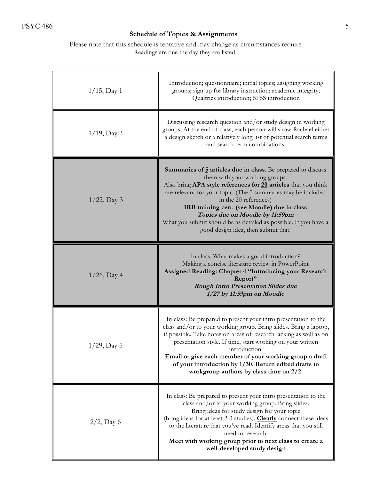# **Schedule of Topics & Assignments**

Please note that this schedule is tentative and may change as circumstances require. Readings are due the day they are listed.

| $1/15$ , Day 1 | Introduction; questionnaire; initial topics; assigning working<br>groups; sign up for library instruction; academic integrity;<br>Qualtrics introduction; SPSS introduction                                                                                                                                                                                                                                                                                      |
|----------------|------------------------------------------------------------------------------------------------------------------------------------------------------------------------------------------------------------------------------------------------------------------------------------------------------------------------------------------------------------------------------------------------------------------------------------------------------------------|
| $1/19$ , Day 2 | Discussing research question and/or study design in working<br>groups. At the end of class, each person will show Rachael either<br>a design sketch or a relatively long list of potential search terms<br>and search term combinations.                                                                                                                                                                                                                         |
| $1/22$ , Day 3 | <b>Summaries of 5 articles due in class</b> . Be prepared to discuss<br>them with your working groups.<br>Also bring APA style references for 20 articles that you think<br>are relevant for your topic. (The 5 summaries may be included<br>in the 20 references)<br>IRB training cert. (see Moodle) due in class<br>Topics due on Moodle by 11:59pm<br>What you submit should be as detailed as possible. If you have a<br>good design idea, then submit that. |
| $1/26$ , Day 4 | In class: What makes a good introduction?<br>Making a concise literature review in PowerPoint<br>Assigned Reading: Chapter 4 "Introducing your Research<br>Report"<br><b>Rough Intro Presentation Slides due</b><br>$1/27$ by 11:59pm on Moodle                                                                                                                                                                                                                  |
| $1/29$ , Day 5 | In class: Be prepared to present your intro presentation to the<br>class and/or to your working group. Bring slides. Bring a laptop,<br>if possible. Take notes on areas of research lacking as well as on<br>presentation style. If time, start working on your written<br>introduction.<br>Email or give each member of your working group a draft<br>of your introduction by 1/30. Return edited drafts to<br>workgroup authors by class time on $2/2$ .      |
| $2/2$ , Day 6  | In class: Be prepared to present your intro presentation to the<br>class and/or to your working group. Bring slides.<br>Bring ideas for study design for your topic<br>(bring ideas for at least 2-3 studies). Clearly connect these ideas<br>to the literature that you've read. Identify areas that you still<br>need to research.<br>Meet with working group prior to next class to create a<br>well-developed study design                                   |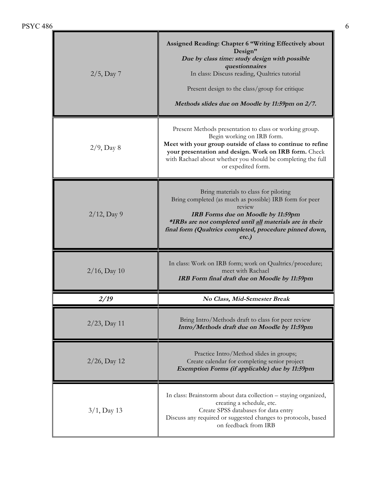| $2/5$ , Day 7   | Assigned Reading: Chapter 6 "Writing Effectively about<br>Design"<br>Due by class time: study design with possible<br>questionnaires<br>In class: Discuss reading, Qualtrics tutorial<br>Present design to the class/group for critique<br>Methods slides due on Moodle by 11:59pm on 2/7.          |
|-----------------|-----------------------------------------------------------------------------------------------------------------------------------------------------------------------------------------------------------------------------------------------------------------------------------------------------|
| $2/9$ , Day 8   | Present Methods presentation to class or working group.<br>Begin working on IRB form.<br>Meet with your group outside of class to continue to refine<br>your presentation and design. Work on IRB form. Check<br>with Rachael about whether you should be completing the full<br>or expedited form. |
| $2/12$ , Day 9  | Bring materials to class for piloting<br>Bring completed (as much as possible) IRB form for peer<br>review<br>IRB Forms due on Moodle by 11:59pm<br>*IRBs are not completed until all materials are in their<br>final form (Qualtrics completed, procedure pinned down,<br>$etc.$ )                 |
| $2/16$ , Day 10 | In class: Work on IRB form; work on Qualtrics/procedure;<br>meet with Rachael<br>IRB Form final draft due on Moodle by 11:59pm                                                                                                                                                                      |
|                 |                                                                                                                                                                                                                                                                                                     |
| 2/19            | No Class, Mid-Semester Break                                                                                                                                                                                                                                                                        |
| $2/23$ , Day 11 | Bring Intro/Methods draft to class for peer review<br>Intro/Methods draft due on Moodle by 11:59pm                                                                                                                                                                                                  |
| $2/26$ , Day 12 | Practice Intro/Method slides in groups;<br>Create calendar for completing senior project<br>Exemption Forms (if applicable) due by 11:59pm                                                                                                                                                          |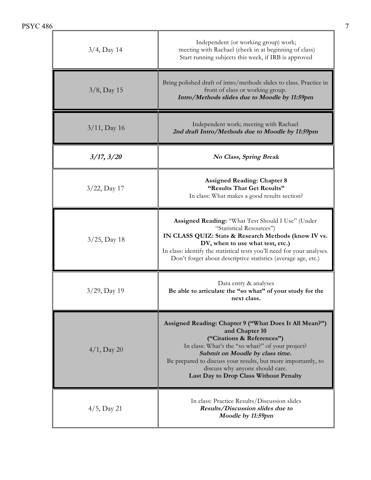| <b>PSYC 486</b> |                                                                                                                                                                                                                                                                                                                                             |
|-----------------|---------------------------------------------------------------------------------------------------------------------------------------------------------------------------------------------------------------------------------------------------------------------------------------------------------------------------------------------|
| $3/4$ , Day 14  | Independent (or working group) work;<br>meeting with Rachael (check in at beginning of class)<br>Start running subjects this week, if IRB is approved                                                                                                                                                                                       |
| $3/8$ , Day 15  | Bring polished draft of intro/methods slides to class. Practice in<br>front of class or working group.<br>Intro/Methods slides due to Moodle by 11:59pm                                                                                                                                                                                     |
| $3/11$ , Day 16 | Independent work; meeting with Rachael<br>2nd draft Intro/Methods due to Moodle by 11:59pm                                                                                                                                                                                                                                                  |
| $3/17$ , $3/20$ | No Class, Spring Break                                                                                                                                                                                                                                                                                                                      |
| $3/22$ , Day 17 | <b>Assigned Reading: Chapter 8</b><br>"Results That Get Results"<br>In class: What makes a good results section?                                                                                                                                                                                                                            |
| $3/25$ , Day 18 | Assigned Reading: "What Test Should I Use" (Under<br>"Statistical Resources")<br>IN CLASS QUIZ: Stats & Research Methods (know IV vs.<br>DV, when to use what test, etc.)<br>In class: identify the statistical tests you'll need for your analyses.<br>Don't forget about descriptive statistics (average age, etc.)                       |
| 3/29, Day 19    | Data entry & analyses<br>Be able to articulate the "so what" of your study for the<br>next class.                                                                                                                                                                                                                                           |
| $4/1$ , Day 20  | Assigned Reading: Chapter 9 ("What Does It All Mean?")<br>and Chapter 10<br>("Citations & References")<br>In class: What's the "so what?" of your project?<br>Submit on Moodle by class time.<br>Be prepared to discuss your results, but more importantly, to<br>discuss why anyone should care.<br>Last Day to Drop Class Without Penalty |
| $4/5$ , Day 21  | In class: Practice Results/Discussion slides<br>Results/Discussion slides due to<br>Moodle by 11:59pm                                                                                                                                                                                                                                       |